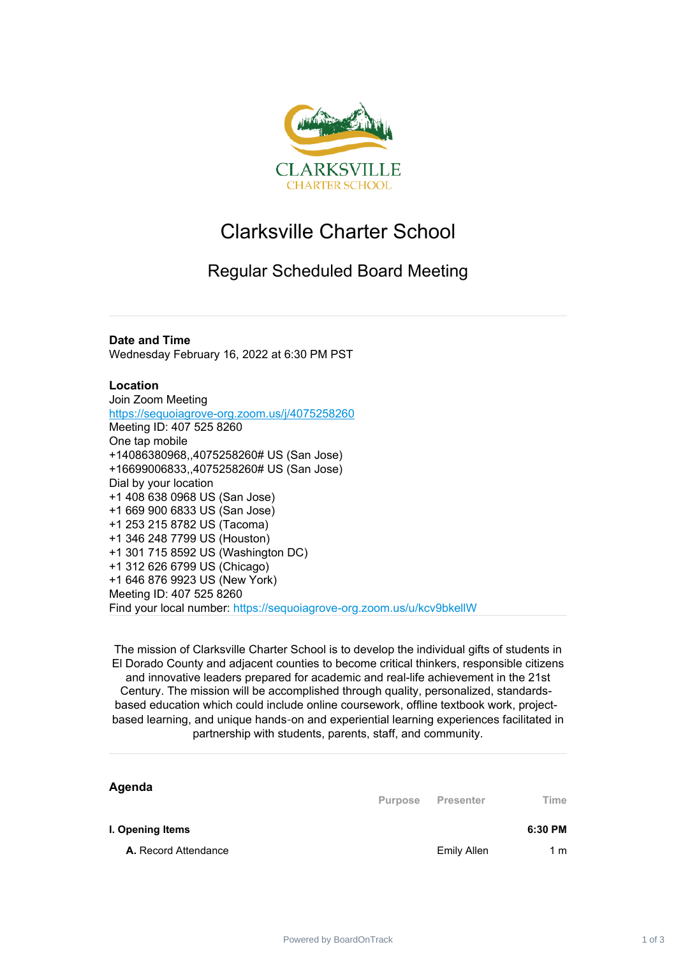

## Clarksville Charter School

## Regular Scheduled Board Meeting

## **Date and Time**

Wednesday February 16, 2022 at 6:30 PM PST

## **Location**

Join Zoom Meeting <https://sequoiagrove-org.zoom.us/j/4075258260> Meeting ID: 407 525 8260 One tap mobile +14086380968,,4075258260# US (San Jose) +16699006833,,4075258260# US (San Jose) Dial by your location +1 408 638 0968 US (San Jose) +1 669 900 6833 US (San Jose) +1 253 215 8782 US (Tacoma) +1 346 248 7799 US (Houston) +1 301 715 8592 US (Washington DC) +1 312 626 6799 US (Chicago) +1 646 876 9923 US (New York) Meeting ID: 407 525 8260 Find your local number: https://sequoiagrove-org.zoom.us/u/kcv9bkellW

The mission of Clarksville Charter School is to develop the individual gifts of students in El Dorado County and adjacent counties to become critical thinkers, responsible citizens and innovative leaders prepared for academic and real-life achievement in the 21st Century. The mission will be accomplished through quality, personalized, standardsbased education which could include online coursework, offline textbook work, projectbased learning, and unique hands‐on and experiential learning experiences facilitated in partnership with students, parents, staff, and community.

| Agenda               | <b>Purpose</b> | Presenter          | Time    |
|----------------------|----------------|--------------------|---------|
| I. Opening Items     |                |                    | 6:30 PM |
| A. Record Attendance |                | <b>Emily Allen</b> | 1 m     |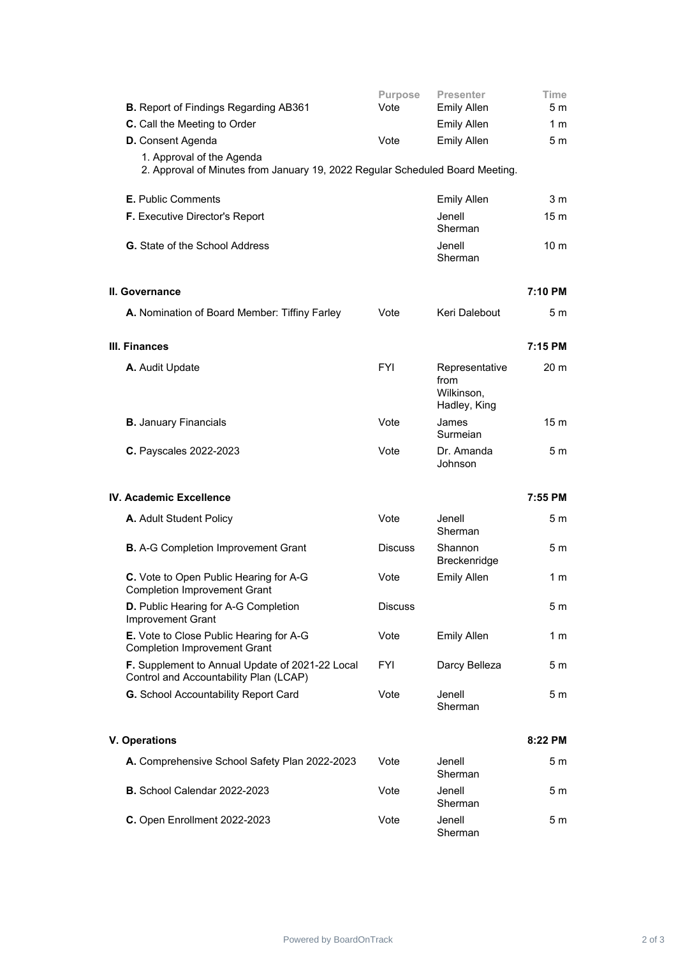| <b>B.</b> Report of Findings Regarding AB361                                                               | <b>Purpose</b><br>Vote | <b>Presenter</b><br><b>Emily Allen</b>               | Time<br>5 m     |
|------------------------------------------------------------------------------------------------------------|------------------------|------------------------------------------------------|-----------------|
| C. Call the Meeting to Order                                                                               |                        | <b>Emily Allen</b>                                   | 1 m             |
| <b>D.</b> Consent Agenda                                                                                   | Vote                   | <b>Emily Allen</b>                                   | 5 <sub>m</sub>  |
| 1. Approval of the Agenda<br>2. Approval of Minutes from January 19, 2022 Regular Scheduled Board Meeting. |                        |                                                      |                 |
| <b>E.</b> Public Comments                                                                                  |                        | <b>Emily Allen</b>                                   | 3 <sub>m</sub>  |
| <b>F.</b> Executive Director's Report                                                                      |                        | Jenell<br>Sherman                                    | 15 <sub>m</sub> |
| <b>G.</b> State of the School Address                                                                      |                        | Jenell<br>Sherman                                    | 10 <sub>m</sub> |
| II. Governance                                                                                             |                        |                                                      | 7:10 PM         |
| A. Nomination of Board Member: Tiffiny Farley                                                              | Vote                   | Keri Dalebout                                        | 5 m             |
| III. Finances                                                                                              |                        |                                                      | 7:15 PM         |
| A. Audit Update                                                                                            | <b>FYI</b>             | Representative<br>from<br>Wilkinson,<br>Hadley, King | 20 <sub>m</sub> |
| <b>B.</b> January Financials                                                                               | Vote                   | James<br>Surmeian                                    | 15 <sub>m</sub> |
| C. Payscales 2022-2023                                                                                     | Vote                   | Dr. Amanda<br>Johnson                                | 5 <sub>m</sub>  |
| IV. Academic Excellence                                                                                    |                        |                                                      | 7:55 PM         |
| A. Adult Student Policy                                                                                    | Vote                   | Jenell<br>Sherman                                    | 5 m             |
| <b>B.</b> A-G Completion Improvement Grant                                                                 | <b>Discuss</b>         | Shannon<br>Breckenridge                              | 5 m             |
| C. Vote to Open Public Hearing for A-G<br><b>Completion Improvement Grant</b>                              | Vote                   | <b>Emily Allen</b>                                   | 1 m             |
| D. Public Hearing for A-G Completion<br>Improvement Grant                                                  | <b>Discuss</b>         |                                                      | 5 <sub>m</sub>  |
| E. Vote to Close Public Hearing for A-G<br><b>Completion Improvement Grant</b>                             | Vote                   | <b>Emily Allen</b>                                   | 1 m             |
| F. Supplement to Annual Update of 2021-22 Local<br>Control and Accountability Plan (LCAP)                  | <b>FYI</b>             | Darcy Belleza                                        | 5 m             |
| G. School Accountability Report Card                                                                       | Vote                   | Jenell<br>Sherman                                    | 5 <sub>m</sub>  |
| <b>V. Operations</b>                                                                                       |                        |                                                      | 8:22 PM         |
| A. Comprehensive School Safety Plan 2022-2023                                                              | Vote                   | Jenell<br>Sherman                                    | 5 m             |
| <b>B.</b> School Calendar 2022-2023                                                                        | Vote                   | Jenell<br>Sherman                                    | 5 <sub>m</sub>  |
| C. Open Enrollment 2022-2023                                                                               | Vote                   | Jenell<br>Sherman                                    | 5m              |